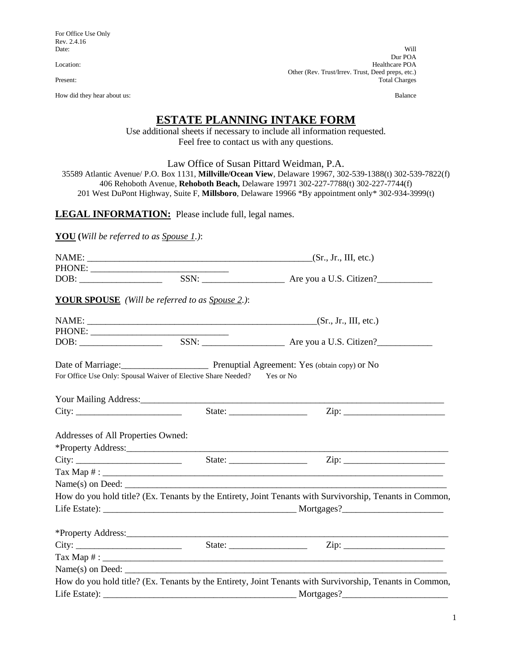For Office Use Only Rev. 2.4.16<br>Date:

How did they hear about us: Balance

Date: Will not a control of the control of the control of the control of the control of the control of the control of the control of the control of the control of the control of the control of the control of the control of Dur POA Location: Healthcare POA Other (Rev. Trust/Irrev. Trust, Deed preps, etc.)<br>Total Charges Total Charges

# **ESTATE PLANNING INTAKE FORM**

Use additional sheets if necessary to include all information requested. Feel free to contact us with any questions.

Law Office of Susan Pittard Weidman, P.A.

35589 Atlantic Avenue/ P.O. Box 1131, **Millville/Ocean View**, Delaware 19967, 302-539-1388(t) 302-539-7822(f) 406 Rehoboth Avenue, **Rehoboth Beach,** Delaware 19971 302-227-7788(t) 302-227-7744(f) 201 West DuPont Highway, Suite F, **Millsboro**, Delaware 19966 \*By appointment only\* 302-934-3999(t)

**LEGAL INFORMATION:** Please include full, legal names.

**YOU (***Will be referred to as Spouse 1.)*:

| $\boxed{\text{DOB:}\n \begin{picture}(10,0) \label{picc} \put(0,0){\dashbox{0.5}(10,0){ }} \put(15,0){\dashbox{0.5}(10,0){ }} \put(15,0){\dashbox{0.5}(10,0){ }} \put(15,0){\dashbox{0.5}(10,0){ }} \put(15,0){\dashbox{0.5}(10,0){ }} \put(15,0){\dashbox{0.5}(10,0){ }} \put(15,0){\dashbox{0.5}(10,0){ }} \put(15,0){\dashbox{0.5}(10,0){ }} \put(15,0){\dashbox{0.5}(10,$ |                                                                         |                                                                                                          |
|-------------------------------------------------------------------------------------------------------------------------------------------------------------------------------------------------------------------------------------------------------------------------------------------------------------------------------------------------------------------------------|-------------------------------------------------------------------------|----------------------------------------------------------------------------------------------------------|
|                                                                                                                                                                                                                                                                                                                                                                               | YOUR SPOUSE (Will be referred to as Spouse 2.):                         |                                                                                                          |
|                                                                                                                                                                                                                                                                                                                                                                               |                                                                         |                                                                                                          |
|                                                                                                                                                                                                                                                                                                                                                                               |                                                                         |                                                                                                          |
|                                                                                                                                                                                                                                                                                                                                                                               |                                                                         |                                                                                                          |
|                                                                                                                                                                                                                                                                                                                                                                               |                                                                         | Date of Marriage: Prenuptial Agreement: Yes (obtain copy) or No                                          |
|                                                                                                                                                                                                                                                                                                                                                                               | For Office Use Only: Spousal Waiver of Elective Share Needed? Yes or No |                                                                                                          |
|                                                                                                                                                                                                                                                                                                                                                                               |                                                                         |                                                                                                          |
| City:                                                                                                                                                                                                                                                                                                                                                                         |                                                                         |                                                                                                          |
| Addresses of All Properties Owned:                                                                                                                                                                                                                                                                                                                                            |                                                                         |                                                                                                          |
|                                                                                                                                                                                                                                                                                                                                                                               |                                                                         |                                                                                                          |
|                                                                                                                                                                                                                                                                                                                                                                               |                                                                         |                                                                                                          |
|                                                                                                                                                                                                                                                                                                                                                                               |                                                                         |                                                                                                          |
|                                                                                                                                                                                                                                                                                                                                                                               |                                                                         | $Name(s)$ on Deed:                                                                                       |
|                                                                                                                                                                                                                                                                                                                                                                               |                                                                         | How do you hold title? (Ex. Tenants by the Entirety, Joint Tenants with Survivorship, Tenants in Common, |
|                                                                                                                                                                                                                                                                                                                                                                               |                                                                         |                                                                                                          |
|                                                                                                                                                                                                                                                                                                                                                                               |                                                                         |                                                                                                          |
|                                                                                                                                                                                                                                                                                                                                                                               |                                                                         |                                                                                                          |
|                                                                                                                                                                                                                                                                                                                                                                               |                                                                         |                                                                                                          |
|                                                                                                                                                                                                                                                                                                                                                                               |                                                                         |                                                                                                          |
|                                                                                                                                                                                                                                                                                                                                                                               |                                                                         | How do you hold title? (Ex. Tenants by the Entirety, Joint Tenants with Survivorship, Tenants in Common, |
|                                                                                                                                                                                                                                                                                                                                                                               |                                                                         |                                                                                                          |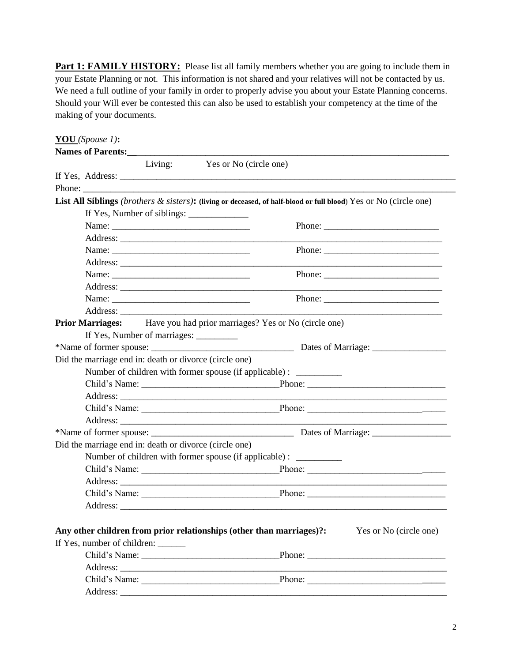**Part 1: FAMILY HISTORY:** Please list all family members whether you are going to include them in your Estate Planning or not. This information is not shared and your relatives will not be contacted by us. We need a full outline of your family in order to properly advise you about your Estate Planning concerns. Should your Will ever be contested this can also be used to establish your competency at the time of the making of your documents.

| Names of Parents:                                      | Living: Yes or No (circle one)                                                                                                                                                                                                                                                                                                                                                                                        |
|--------------------------------------------------------|-----------------------------------------------------------------------------------------------------------------------------------------------------------------------------------------------------------------------------------------------------------------------------------------------------------------------------------------------------------------------------------------------------------------------|
|                                                        |                                                                                                                                                                                                                                                                                                                                                                                                                       |
| Phone:                                                 |                                                                                                                                                                                                                                                                                                                                                                                                                       |
|                                                        | List All Siblings (brothers & sisters): (living or deceased, of half-blood or full blood) Yes or No (circle one)                                                                                                                                                                                                                                                                                                      |
|                                                        |                                                                                                                                                                                                                                                                                                                                                                                                                       |
|                                                        | Name:                                                                                                                                                                                                                                                                                                                                                                                                                 |
|                                                        |                                                                                                                                                                                                                                                                                                                                                                                                                       |
|                                                        | Name:<br>Phone: $\frac{1}{\sqrt{1-\frac{1}{2}}\sqrt{1-\frac{1}{2}}\sqrt{1-\frac{1}{2}}\sqrt{1-\frac{1}{2}}\sqrt{1-\frac{1}{2}}\sqrt{1-\frac{1}{2}}\sqrt{1-\frac{1}{2}}\sqrt{1-\frac{1}{2}}\sqrt{1-\frac{1}{2}}\sqrt{1-\frac{1}{2}}\sqrt{1-\frac{1}{2}}\sqrt{1-\frac{1}{2}}\sqrt{1-\frac{1}{2}}\sqrt{1-\frac{1}{2}}\sqrt{1-\frac{1}{2}}\sqrt{1-\frac{1}{2}}\sqrt{1-\frac{1}{2}}\sqrt{1-\frac{1}{2}}\sqrt{1-\frac{1}{2$ |
|                                                        | <u> 1980 - Antonio Alemania, prima postala de la contrada de la contrada de la contrada de la contrada de la con</u>                                                                                                                                                                                                                                                                                                  |
|                                                        | Name:<br>Phone: $\frac{1}{\sqrt{1-\frac{1}{2}}\sqrt{1-\frac{1}{2}}\sqrt{1-\frac{1}{2}}\sqrt{1-\frac{1}{2}}\sqrt{1-\frac{1}{2}}\sqrt{1-\frac{1}{2}}\sqrt{1-\frac{1}{2}}\sqrt{1-\frac{1}{2}}\sqrt{1-\frac{1}{2}}\sqrt{1-\frac{1}{2}}\sqrt{1-\frac{1}{2}}\sqrt{1-\frac{1}{2}}\sqrt{1-\frac{1}{2}}\sqrt{1-\frac{1}{2}}\sqrt{1-\frac{1}{2}}\sqrt{1-\frac{1}{2}}\sqrt{1-\frac{1}{2}}\sqrt{1-\frac{1}{2}}\sqrt{1-\frac{1}{2$ |
|                                                        |                                                                                                                                                                                                                                                                                                                                                                                                                       |
|                                                        | Phone: $\frac{1}{\sqrt{1-\frac{1}{2}}\sqrt{1-\frac{1}{2}}\sqrt{1-\frac{1}{2}}\sqrt{1-\frac{1}{2}}\sqrt{1-\frac{1}{2}}\sqrt{1-\frac{1}{2}}\sqrt{1-\frac{1}{2}}\sqrt{1-\frac{1}{2}}\sqrt{1-\frac{1}{2}}\sqrt{1-\frac{1}{2}}\sqrt{1-\frac{1}{2}}\sqrt{1-\frac{1}{2}}\sqrt{1-\frac{1}{2}}\sqrt{1-\frac{1}{2}}\sqrt{1-\frac{1}{2}}\sqrt{1-\frac{1}{2}}\sqrt{1-\frac{1}{2}}\sqrt{1-\frac{1}{2}}\sqrt{1-\frac{1}{2$          |
|                                                        |                                                                                                                                                                                                                                                                                                                                                                                                                       |
|                                                        | <b>Prior Marriages:</b> Have you had prior marriages? Yes or No (circle one)                                                                                                                                                                                                                                                                                                                                          |
| If Yes, Number of marriages: _________                 |                                                                                                                                                                                                                                                                                                                                                                                                                       |
|                                                        |                                                                                                                                                                                                                                                                                                                                                                                                                       |
| Did the marriage end in: death or divorce (circle one) |                                                                                                                                                                                                                                                                                                                                                                                                                       |
|                                                        | Number of children with former spouse (if applicable) : ________________________                                                                                                                                                                                                                                                                                                                                      |
|                                                        |                                                                                                                                                                                                                                                                                                                                                                                                                       |
|                                                        |                                                                                                                                                                                                                                                                                                                                                                                                                       |
|                                                        |                                                                                                                                                                                                                                                                                                                                                                                                                       |
|                                                        | <u> 1989 - Johann Barbara, martin amerikan basar dan berasal dalam basar dalam basar dalam basar dalam basar dala</u>                                                                                                                                                                                                                                                                                                 |
|                                                        |                                                                                                                                                                                                                                                                                                                                                                                                                       |
| Did the marriage end in: death or divorce (circle one) |                                                                                                                                                                                                                                                                                                                                                                                                                       |
|                                                        | Number of children with former spouse (if applicable) : __________                                                                                                                                                                                                                                                                                                                                                    |
|                                                        | Child's Name:                                                                                                                                                                                                                                                                                                                                                                                                         |
|                                                        |                                                                                                                                                                                                                                                                                                                                                                                                                       |
|                                                        |                                                                                                                                                                                                                                                                                                                                                                                                                       |
|                                                        |                                                                                                                                                                                                                                                                                                                                                                                                                       |
|                                                        |                                                                                                                                                                                                                                                                                                                                                                                                                       |
|                                                        | Any other children from prior relationships (other than marriages)?:<br>Yes or No (circle one)                                                                                                                                                                                                                                                                                                                        |
| If Yes, number of children: ______                     |                                                                                                                                                                                                                                                                                                                                                                                                                       |
|                                                        |                                                                                                                                                                                                                                                                                                                                                                                                                       |
|                                                        |                                                                                                                                                                                                                                                                                                                                                                                                                       |
|                                                        |                                                                                                                                                                                                                                                                                                                                                                                                                       |
|                                                        |                                                                                                                                                                                                                                                                                                                                                                                                                       |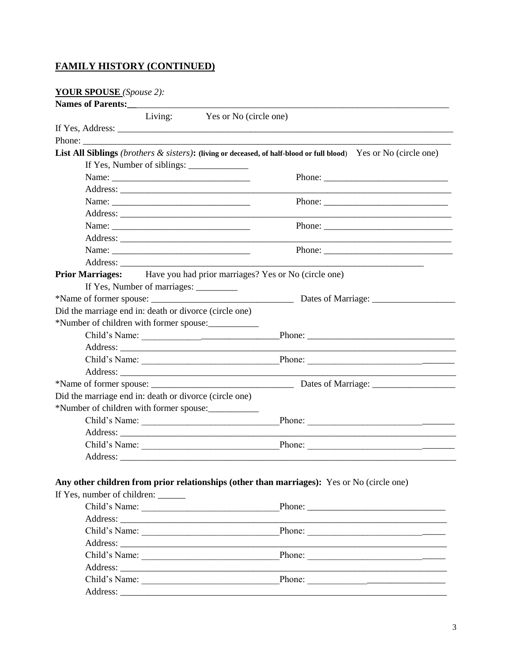## **FAMILY HISTORY (CONTINUED)**

**YOUR SPOUSE** (Spouse 2):

| Names of Parents:                                                                          |                                                                                                                                                                                                                                                                                                                                                                                                              |
|--------------------------------------------------------------------------------------------|--------------------------------------------------------------------------------------------------------------------------------------------------------------------------------------------------------------------------------------------------------------------------------------------------------------------------------------------------------------------------------------------------------------|
| Living: Yes or No (circle one)                                                             |                                                                                                                                                                                                                                                                                                                                                                                                              |
|                                                                                            |                                                                                                                                                                                                                                                                                                                                                                                                              |
|                                                                                            |                                                                                                                                                                                                                                                                                                                                                                                                              |
|                                                                                            | List All Siblings (brothers & sisters): (living or deceased, of half-blood or full blood) Yes or No (circle one)                                                                                                                                                                                                                                                                                             |
|                                                                                            |                                                                                                                                                                                                                                                                                                                                                                                                              |
|                                                                                            |                                                                                                                                                                                                                                                                                                                                                                                                              |
|                                                                                            |                                                                                                                                                                                                                                                                                                                                                                                                              |
|                                                                                            | Phone: $\frac{1}{\sqrt{1-\frac{1}{2}}\sqrt{1-\frac{1}{2}}\sqrt{1-\frac{1}{2}}\sqrt{1-\frac{1}{2}}\sqrt{1-\frac{1}{2}}\sqrt{1-\frac{1}{2}}\sqrt{1-\frac{1}{2}}\sqrt{1-\frac{1}{2}}\sqrt{1-\frac{1}{2}}\sqrt{1-\frac{1}{2}}\sqrt{1-\frac{1}{2}}\sqrt{1-\frac{1}{2}}\sqrt{1-\frac{1}{2}}\sqrt{1-\frac{1}{2}}\sqrt{1-\frac{1}{2}}\sqrt{1-\frac{1}{2}}\sqrt{1-\frac{1}{2}}\sqrt{1-\frac{1}{2}}\sqrt{1-\frac{1}{2$ |
|                                                                                            |                                                                                                                                                                                                                                                                                                                                                                                                              |
|                                                                                            |                                                                                                                                                                                                                                                                                                                                                                                                              |
|                                                                                            |                                                                                                                                                                                                                                                                                                                                                                                                              |
|                                                                                            |                                                                                                                                                                                                                                                                                                                                                                                                              |
|                                                                                            |                                                                                                                                                                                                                                                                                                                                                                                                              |
| Prior Marriages: Have you had prior marriages? Yes or No (circle one)                      |                                                                                                                                                                                                                                                                                                                                                                                                              |
| If Yes, Number of marriages: __________                                                    |                                                                                                                                                                                                                                                                                                                                                                                                              |
|                                                                                            |                                                                                                                                                                                                                                                                                                                                                                                                              |
| Did the marriage end in: death or divorce (circle one)                                     |                                                                                                                                                                                                                                                                                                                                                                                                              |
| *Number of children with former spouse:                                                    |                                                                                                                                                                                                                                                                                                                                                                                                              |
|                                                                                            |                                                                                                                                                                                                                                                                                                                                                                                                              |
|                                                                                            |                                                                                                                                                                                                                                                                                                                                                                                                              |
|                                                                                            |                                                                                                                                                                                                                                                                                                                                                                                                              |
|                                                                                            | the control of the control of the control of the control of the control of                                                                                                                                                                                                                                                                                                                                   |
|                                                                                            |                                                                                                                                                                                                                                                                                                                                                                                                              |
| Did the marriage end in: death or divorce (circle one)                                     |                                                                                                                                                                                                                                                                                                                                                                                                              |
| *Number of children with former spouse:                                                    |                                                                                                                                                                                                                                                                                                                                                                                                              |
|                                                                                            |                                                                                                                                                                                                                                                                                                                                                                                                              |
|                                                                                            |                                                                                                                                                                                                                                                                                                                                                                                                              |
|                                                                                            |                                                                                                                                                                                                                                                                                                                                                                                                              |
|                                                                                            |                                                                                                                                                                                                                                                                                                                                                                                                              |
|                                                                                            |                                                                                                                                                                                                                                                                                                                                                                                                              |
| Any other children from prior relationships (other than marriages): Yes or No (circle one) |                                                                                                                                                                                                                                                                                                                                                                                                              |
| If Yes, number of children: ______                                                         |                                                                                                                                                                                                                                                                                                                                                                                                              |
|                                                                                            |                                                                                                                                                                                                                                                                                                                                                                                                              |
|                                                                                            | Phone:                                                                                                                                                                                                                                                                                                                                                                                                       |
|                                                                                            |                                                                                                                                                                                                                                                                                                                                                                                                              |
| Child's Name:                                                                              |                                                                                                                                                                                                                                                                                                                                                                                                              |
|                                                                                            |                                                                                                                                                                                                                                                                                                                                                                                                              |
| Child's Name:                                                                              | Phone: $\frac{1}{\sqrt{1-\frac{1}{2}}\sqrt{1-\frac{1}{2}}\sqrt{1-\frac{1}{2}}\sqrt{1-\frac{1}{2}}\sqrt{1-\frac{1}{2}}\sqrt{1-\frac{1}{2}}\sqrt{1-\frac{1}{2}}\sqrt{1-\frac{1}{2}}\sqrt{1-\frac{1}{2}}\sqrt{1-\frac{1}{2}}\sqrt{1-\frac{1}{2}}\sqrt{1-\frac{1}{2}}\sqrt{1-\frac{1}{2}}\sqrt{1-\frac{1}{2}}\sqrt{1-\frac{1}{2}}\sqrt{1-\frac{1}{2}}\sqrt{1-\frac{1}{2}}\sqrt{1-\frac{1}{2}}\sqrt{1-\frac{1}{2$ |
|                                                                                            |                                                                                                                                                                                                                                                                                                                                                                                                              |
|                                                                                            |                                                                                                                                                                                                                                                                                                                                                                                                              |
|                                                                                            |                                                                                                                                                                                                                                                                                                                                                                                                              |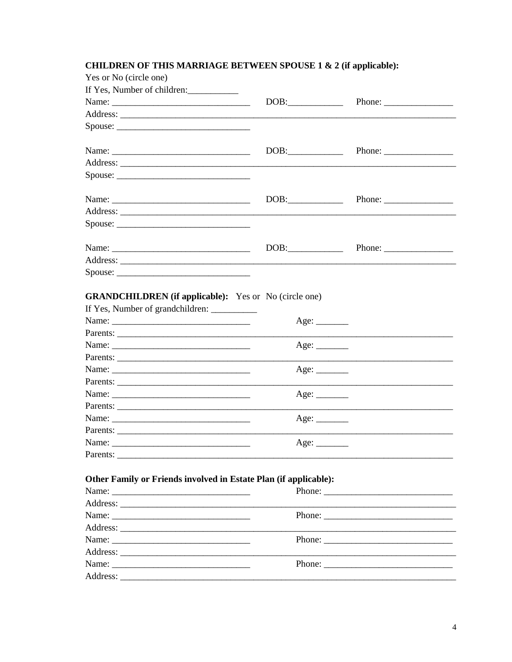## **CHILDREN OF THIS MARRIAGE BETWEEN SPOUSE 1 & 2 (if applicable):**

| Yes or No (circle one)                                           |             |                                                                                                                                                                                                                                                                                                                                                                                                              |
|------------------------------------------------------------------|-------------|--------------------------------------------------------------------------------------------------------------------------------------------------------------------------------------------------------------------------------------------------------------------------------------------------------------------------------------------------------------------------------------------------------------|
| If Yes, Number of children:                                      |             |                                                                                                                                                                                                                                                                                                                                                                                                              |
|                                                                  | DOB:        | Phone: $\frac{1}{\sqrt{1-\frac{1}{2}}\sqrt{1-\frac{1}{2}}\sqrt{1-\frac{1}{2}}\sqrt{1-\frac{1}{2}}\sqrt{1-\frac{1}{2}}\sqrt{1-\frac{1}{2}}\sqrt{1-\frac{1}{2}}\sqrt{1-\frac{1}{2}}\sqrt{1-\frac{1}{2}}\sqrt{1-\frac{1}{2}}\sqrt{1-\frac{1}{2}}\sqrt{1-\frac{1}{2}}\sqrt{1-\frac{1}{2}}\sqrt{1-\frac{1}{2}}\sqrt{1-\frac{1}{2}}\sqrt{1-\frac{1}{2}}\sqrt{1-\frac{1}{2}}\sqrt{1-\frac{1}{2}}\sqrt{1-\frac{1}{2$ |
|                                                                  |             |                                                                                                                                                                                                                                                                                                                                                                                                              |
|                                                                  |             |                                                                                                                                                                                                                                                                                                                                                                                                              |
|                                                                  |             |                                                                                                                                                                                                                                                                                                                                                                                                              |
|                                                                  | DOB:        |                                                                                                                                                                                                                                                                                                                                                                                                              |
|                                                                  |             |                                                                                                                                                                                                                                                                                                                                                                                                              |
| $Spouse: \_$                                                     |             |                                                                                                                                                                                                                                                                                                                                                                                                              |
|                                                                  |             |                                                                                                                                                                                                                                                                                                                                                                                                              |
|                                                                  | DOB:        |                                                                                                                                                                                                                                                                                                                                                                                                              |
|                                                                  |             |                                                                                                                                                                                                                                                                                                                                                                                                              |
| $Spouse: \_$                                                     |             |                                                                                                                                                                                                                                                                                                                                                                                                              |
|                                                                  |             |                                                                                                                                                                                                                                                                                                                                                                                                              |
|                                                                  | DOB:        |                                                                                                                                                                                                                                                                                                                                                                                                              |
|                                                                  |             |                                                                                                                                                                                                                                                                                                                                                                                                              |
|                                                                  |             |                                                                                                                                                                                                                                                                                                                                                                                                              |
|                                                                  |             |                                                                                                                                                                                                                                                                                                                                                                                                              |
| <b>GRANDCHILDREN</b> (if applicable): Yes or No (circle one)     |             |                                                                                                                                                                                                                                                                                                                                                                                                              |
|                                                                  |             |                                                                                                                                                                                                                                                                                                                                                                                                              |
|                                                                  |             |                                                                                                                                                                                                                                                                                                                                                                                                              |
|                                                                  |             |                                                                                                                                                                                                                                                                                                                                                                                                              |
|                                                                  | Age:        |                                                                                                                                                                                                                                                                                                                                                                                                              |
|                                                                  |             |                                                                                                                                                                                                                                                                                                                                                                                                              |
|                                                                  |             |                                                                                                                                                                                                                                                                                                                                                                                                              |
|                                                                  | Age: $\_\_$ | <u> 1989 - Johann Stoff, Amerikaansk politiker (* 1908)</u>                                                                                                                                                                                                                                                                                                                                                  |
| Name:<br>Parents:                                                |             |                                                                                                                                                                                                                                                                                                                                                                                                              |
|                                                                  |             |                                                                                                                                                                                                                                                                                                                                                                                                              |
|                                                                  |             |                                                                                                                                                                                                                                                                                                                                                                                                              |
| Name:                                                            | Age:        |                                                                                                                                                                                                                                                                                                                                                                                                              |
|                                                                  |             |                                                                                                                                                                                                                                                                                                                                                                                                              |
|                                                                  |             |                                                                                                                                                                                                                                                                                                                                                                                                              |
| Other Family or Friends involved in Estate Plan (if applicable): |             |                                                                                                                                                                                                                                                                                                                                                                                                              |
|                                                                  |             |                                                                                                                                                                                                                                                                                                                                                                                                              |
|                                                                  |             |                                                                                                                                                                                                                                                                                                                                                                                                              |
|                                                                  |             | Phone:                                                                                                                                                                                                                                                                                                                                                                                                       |
|                                                                  |             |                                                                                                                                                                                                                                                                                                                                                                                                              |
| Name:                                                            |             |                                                                                                                                                                                                                                                                                                                                                                                                              |
|                                                                  |             |                                                                                                                                                                                                                                                                                                                                                                                                              |
|                                                                  |             |                                                                                                                                                                                                                                                                                                                                                                                                              |
|                                                                  |             |                                                                                                                                                                                                                                                                                                                                                                                                              |
|                                                                  |             |                                                                                                                                                                                                                                                                                                                                                                                                              |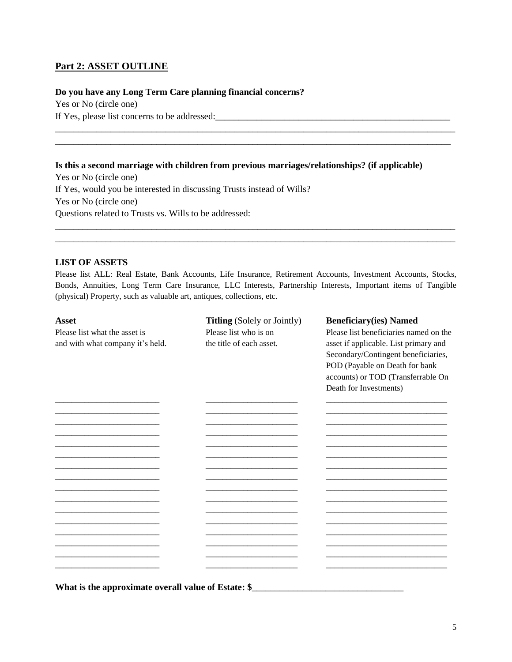## **Part 2: ASSET OUTLINE**

#### **Do you have any Long Term Care planning financial concerns?**

Yes or No (circle one) If Yes, please list concerns to be addressed:

#### **Is this a second marriage with children from previous marriages/relationships? (if applicable)**

\_\_\_\_\_\_\_\_\_\_\_\_\_\_\_\_\_\_\_\_\_\_\_\_\_\_\_\_\_\_\_\_\_\_\_\_\_\_\_\_\_\_\_\_\_\_\_\_\_\_\_\_\_\_\_\_\_\_\_\_\_\_\_\_\_\_\_\_\_\_\_\_\_\_\_\_\_\_\_\_\_\_\_\_\_\_\_ \_\_\_\_\_\_\_\_\_\_\_\_\_\_\_\_\_\_\_\_\_\_\_\_\_\_\_\_\_\_\_\_\_\_\_\_\_\_\_\_\_\_\_\_\_\_\_\_\_\_\_\_\_\_\_\_\_\_\_\_\_\_\_\_\_\_\_\_\_\_\_\_\_\_\_\_\_\_\_\_\_\_\_\_\_\_

Yes or No (circle one) If Yes, would you be interested in discussing Trusts instead of Wills? Yes or No (circle one) Questions related to Trusts vs. Wills to be addressed:

#### **LIST OF ASSETS**

Please list ALL: Real Estate, Bank Accounts, Life Insurance, Retirement Accounts, Investment Accounts, Stocks, Bonds, Annuities, Long Term Care Insurance, LLC Interests, Partnership Interests, Important items of Tangible (physical) Property, such as valuable art, antiques, collections, etc.

\_\_\_\_\_\_\_\_\_\_\_\_\_\_\_\_\_\_\_\_\_\_\_\_\_\_\_\_\_\_\_\_\_\_\_\_\_\_\_\_\_\_\_\_\_\_\_\_\_\_\_\_\_\_\_\_\_\_\_\_\_\_\_\_\_\_\_\_\_\_\_\_\_\_\_\_\_\_\_\_\_\_\_\_\_\_\_ \_\_\_\_\_\_\_\_\_\_\_\_\_\_\_\_\_\_\_\_\_\_\_\_\_\_\_\_\_\_\_\_\_\_\_\_\_\_\_\_\_\_\_\_\_\_\_\_\_\_\_\_\_\_\_\_\_\_\_\_\_\_\_\_\_\_\_\_\_\_\_\_\_\_\_\_\_\_\_\_\_\_\_\_\_\_\_

| <b>Asset</b>                                                      | <b>Titling</b> (Solely or Jointly)                | <b>Beneficiary(ies) Named</b>                                                                                                                                                                                            |
|-------------------------------------------------------------------|---------------------------------------------------|--------------------------------------------------------------------------------------------------------------------------------------------------------------------------------------------------------------------------|
| Please list what the asset is<br>and with what company it's held. | Please list who is on<br>the title of each asset. | Please list beneficiaries named on the<br>asset if applicable. List primary and<br>Secondary/Contingent beneficiaries,<br>POD (Payable on Death for bank<br>accounts) or TOD (Transferrable On<br>Death for Investments) |
|                                                                   |                                                   |                                                                                                                                                                                                                          |
|                                                                   |                                                   |                                                                                                                                                                                                                          |
|                                                                   |                                                   |                                                                                                                                                                                                                          |
|                                                                   |                                                   |                                                                                                                                                                                                                          |
|                                                                   |                                                   |                                                                                                                                                                                                                          |
| What is the approximate overall value of Estate: \$               |                                                   |                                                                                                                                                                                                                          |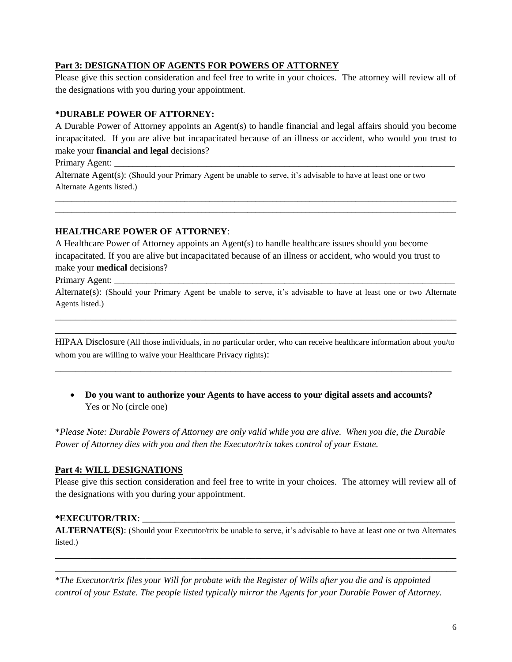### **Part 3: DESIGNATION OF AGENTS FOR POWERS OF ATTORNEY**

Please give this section consideration and feel free to write in your choices. The attorney will review all of the designations with you during your appointment.

### **\*DURABLE POWER OF ATTORNEY:**

A Durable Power of Attorney appoints an Agent(s) to handle financial and legal affairs should you become incapacitated. If you are alive but incapacitated because of an illness or accident, who would you trust to make your **financial and legal** decisions?

\_\_\_\_\_\_\_\_\_\_\_\_\_\_\_\_\_\_\_\_\_\_\_\_\_\_\_\_\_\_\_\_\_\_\_\_\_\_\_\_\_\_\_\_\_\_\_\_\_\_\_\_\_\_\_\_\_\_\_\_\_\_\_\_\_\_\_\_\_\_\_\_\_\_\_\_\_\_\_\_\_\_\_\_\_\_\_\_\_\_\_\_\_\_\_\_ \_\_\_\_\_\_\_\_\_\_\_\_\_\_\_\_\_\_\_\_\_\_\_\_\_\_\_\_\_\_\_\_\_\_\_\_\_\_\_\_\_\_\_\_\_\_\_\_\_\_\_\_\_\_\_\_\_\_\_\_\_\_\_\_\_\_\_\_\_\_\_\_\_\_\_\_\_\_\_\_\_\_\_\_\_\_\_\_\_\_\_\_\_\_\_\_

Primary Agent:

Alternate Agent(s): (Should your Primary Agent be unable to serve, it's advisable to have at least one or two Alternate Agents listed.)

### **HEALTHCARE POWER OF ATTORNEY**:

A Healthcare Power of Attorney appoints an Agent(s) to handle healthcare issues should you become incapacitated. If you are alive but incapacitated because of an illness or accident, who would you trust to make your **medical** decisions?

Primary Agent:

Alternate(s): (Should your Primary Agent be unable to serve, it's advisable to have at least one or two Alternate Agents listed.)

\_\_\_\_\_\_\_\_\_\_\_\_\_\_\_\_\_\_\_\_\_\_\_\_\_\_\_\_\_\_\_\_\_\_\_\_\_\_\_\_\_\_\_\_\_\_\_\_\_\_\_\_\_\_\_\_\_\_\_\_\_\_\_\_\_\_\_\_\_\_\_\_\_\_\_\_\_\_\_\_ \_\_\_\_\_\_\_\_\_\_\_\_\_\_\_\_\_\_\_\_\_\_\_\_\_\_\_\_\_\_\_\_\_\_\_\_\_\_\_\_\_\_\_\_\_\_\_\_\_\_\_\_\_\_\_\_\_\_\_\_\_\_\_\_\_\_\_\_\_\_\_\_\_\_\_\_\_\_\_\_

HIPAA Disclosure (All those individuals, in no particular order, who can receive healthcare information about you/to whom you are willing to waive your Healthcare Privacy rights):

\_\_\_\_\_\_\_\_\_\_\_\_\_\_\_\_\_\_\_\_\_\_\_\_\_\_\_\_\_\_\_\_\_\_\_\_\_\_\_\_\_\_\_\_\_\_\_\_\_\_\_\_\_\_\_\_\_\_\_\_\_\_\_\_\_\_\_\_\_\_\_\_\_\_\_\_\_\_\_

 **Do you want to authorize your Agents to have access to your digital assets and accounts?** Yes or No (circle one)

\**Please Note: Durable Powers of Attorney are only valid while you are alive. When you die, the Durable Power of Attorney dies with you and then the Executor/trix takes control of your Estate.*

### **Part 4: WILL DESIGNATIONS**

Please give this section consideration and feel free to write in your choices. The attorney will review all of the designations with you during your appointment.

### **\*EXECUTOR/TRIX**: \_\_\_\_\_\_\_\_\_\_\_\_\_\_\_\_\_\_\_\_\_\_\_\_\_\_\_\_\_\_\_\_\_\_\_\_\_\_\_\_\_\_\_\_\_\_\_\_\_\_\_\_\_\_\_\_\_\_\_\_\_\_\_\_\_\_\_\_

**ALTERNATE(S)**: (Should your Executor/trix be unable to serve, it's advisable to have at least one or two Alternates listed.)

\_\_\_\_\_\_\_\_\_\_\_\_\_\_\_\_\_\_\_\_\_\_\_\_\_\_\_\_\_\_\_\_\_\_\_\_\_\_\_\_\_\_\_\_\_\_\_\_\_\_\_\_\_\_\_\_\_\_\_\_\_\_\_\_\_\_\_\_\_\_\_\_\_\_\_\_\_\_\_\_ \_\_\_\_\_\_\_\_\_\_\_\_\_\_\_\_\_\_\_\_\_\_\_\_\_\_\_\_\_\_\_\_\_\_\_\_\_\_\_\_\_\_\_\_\_\_\_\_\_\_\_\_\_\_\_\_\_\_\_\_\_\_\_\_\_\_\_\_\_\_\_\_\_\_\_\_\_\_\_\_

\**The Executor/trix files your Will for probate with the Register of Wills after you die and is appointed control of your Estate. The people listed typically mirror the Agents for your Durable Power of Attorney.*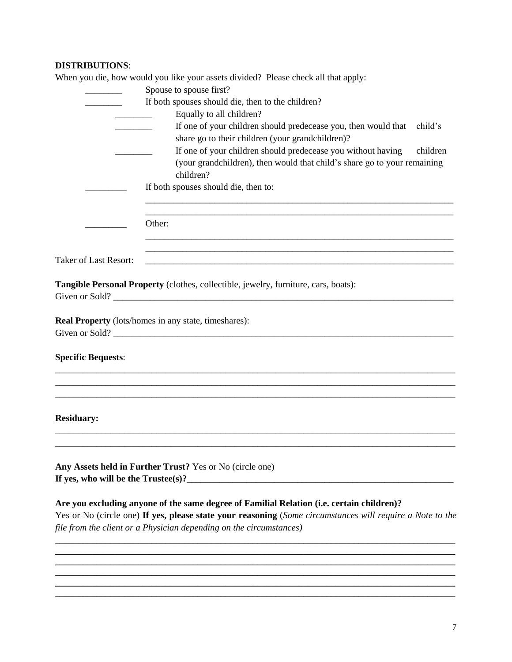# **DISTRIBUTIONS**:

|  | When you die, how would you like your assets divided? Please check all that apply: |  |
|--|------------------------------------------------------------------------------------|--|
|--|------------------------------------------------------------------------------------|--|

|                              | Spouse to spouse first?                                                                                                                                                                                                                                                       |
|------------------------------|-------------------------------------------------------------------------------------------------------------------------------------------------------------------------------------------------------------------------------------------------------------------------------|
|                              | If both spouses should die, then to the children?                                                                                                                                                                                                                             |
|                              | Equally to all children?                                                                                                                                                                                                                                                      |
|                              | If one of your children should predecease you, then would that<br>child's                                                                                                                                                                                                     |
|                              | share go to their children (your grandchildren)?                                                                                                                                                                                                                              |
|                              | If one of your children should predecease you without having<br>children                                                                                                                                                                                                      |
|                              | (your grandchildren), then would that child's share go to your remaining                                                                                                                                                                                                      |
|                              | children?                                                                                                                                                                                                                                                                     |
|                              |                                                                                                                                                                                                                                                                               |
|                              | If both spouses should die, then to:                                                                                                                                                                                                                                          |
|                              | Other:                                                                                                                                                                                                                                                                        |
|                              |                                                                                                                                                                                                                                                                               |
| <b>Taker of Last Resort:</b> | <u> 1989 - Johann Stoff, deutscher Stoff, der Stoff, der Stoff, der Stoff, der Stoff, der Stoff, der Stoff, der S</u>                                                                                                                                                         |
|                              |                                                                                                                                                                                                                                                                               |
|                              | Tangible Personal Property (clothes, collectible, jewelry, furniture, cars, boats):                                                                                                                                                                                           |
|                              | Real Property (lots/homes in any state, timeshares):                                                                                                                                                                                                                          |
| <b>Specific Bequests:</b>    |                                                                                                                                                                                                                                                                               |
|                              |                                                                                                                                                                                                                                                                               |
| <b>Residuary:</b>            |                                                                                                                                                                                                                                                                               |
|                              | Any Assets held in Further Trust? Yes or No (circle one)                                                                                                                                                                                                                      |
|                              | Are you excluding anyone of the same degree of Familial Relation (i.e. certain children)?<br>Yes or No (circle one) If yes, please state your reasoning (Some circumstances will require a Note to the<br>file from the client or a Physician depending on the circumstances) |
|                              |                                                                                                                                                                                                                                                                               |
|                              |                                                                                                                                                                                                                                                                               |